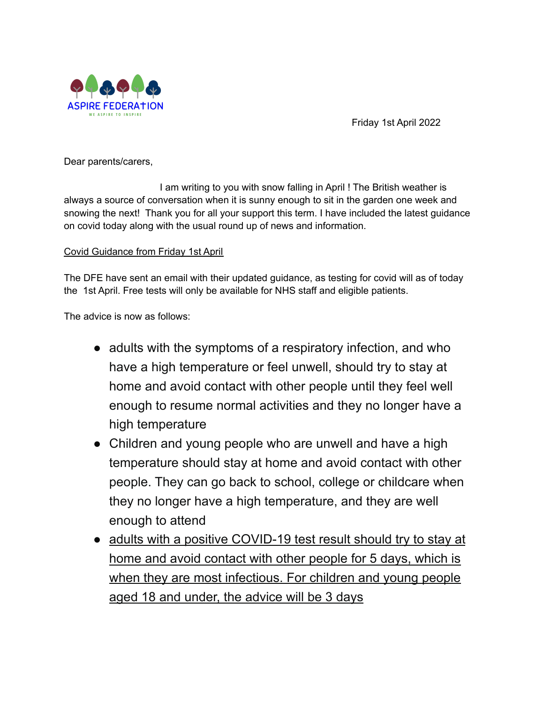

Friday 1st April 2022

Dear parents/carers,

I am writing to you with snow falling in April ! The British weather is always a source of conversation when it is sunny enough to sit in the garden one week and snowing the next! Thank you for all your support this term. I have included the latest guidance on covid today along with the usual round up of news and information.

## Covid Guidance from Friday 1st April

The DFE have sent an email with their updated guidance, as testing for covid will as of today the 1st April. Free tests will only be available for NHS staff and eligible patients.

The advice is now as follows:

- adults with the symptoms of a respiratory infection, and who have a high temperature or feel unwell, should try to stay at home and avoid contact with other people until they feel well enough to resume normal activities and they no longer have a high temperature
- Children and young people who are unwell and have a high temperature should stay at home and avoid contact with other people. They can go back to school, college or childcare when they no longer have a high temperature, and they are well enough to attend
- adults with a positive COVID-19 test result should try to stay at home and avoid contact with other people for 5 days, which is when they are most infectious. For children and young people aged 18 and under, the advice will be 3 days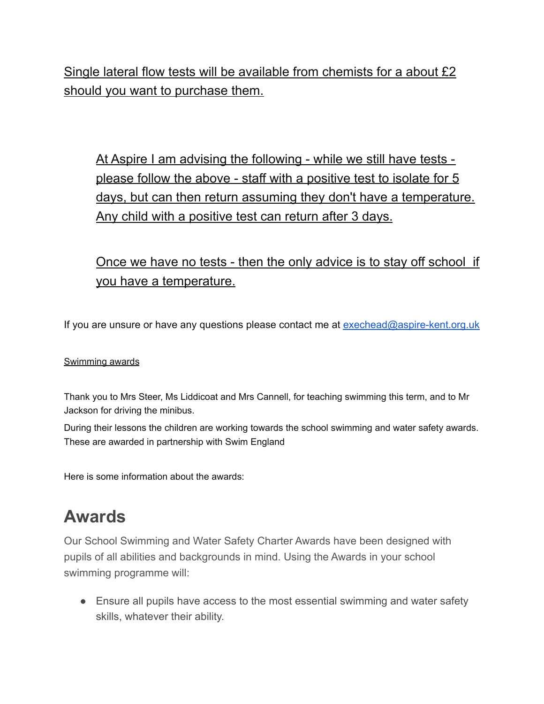Single lateral flow tests will be available from chemists for a about £2 should you want to purchase them.

At Aspire I am advising the following - while we still have tests please follow the above - staff with a positive test to isolate for 5 days, but can then return assuming they don't have a temperature. Any child with a positive test can return after 3 days.

# Once we have no tests - then the only advice is to stay off school if you have a temperature.

If you are unsure or have any questions please contact me at [exechead@aspire-kent.org.uk](mailto:exechead@aspire-kent.org.uk)

### Swimming awards

Thank you to Mrs Steer, Ms Liddicoat and Mrs Cannell, for teaching swimming this term, and to Mr Jackson for driving the minibus.

During their lessons the children are working towards the school swimming and water safety awards. These are awarded in partnership with Swim England

Here is some information about the awards:

# **Awards**

Our School Swimming and Water Safety Charter Awards have been designed with pupils of all abilities and backgrounds in mind. Using the Awards in your school swimming programme will:

● Ensure all pupils have access to the most essential swimming and water safety skills, whatever their ability.